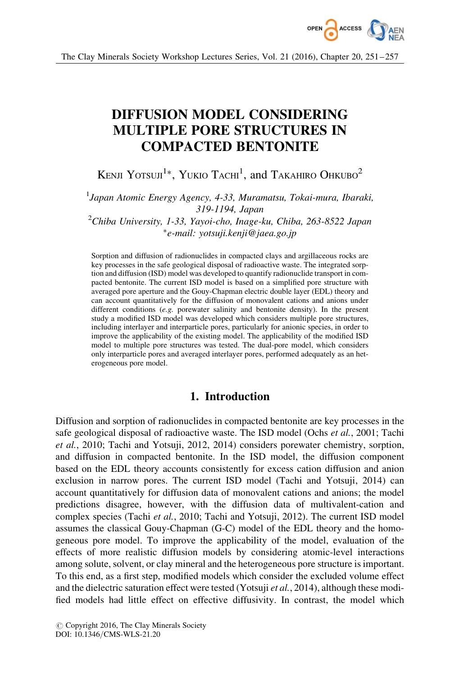

# DIFFUSION MODEL CONSIDERING MULTIPLE PORE STRUCTURES IN COMPACTED BENTONITE

Kenji Yotsuji<sup>1</sup>\*, Yukio Tachi<sup>1</sup>, and Takahiro Ohkubo<sup>2</sup>

<sup>1</sup>Japan Atomic Energy Agency, 4-33, Muramatsu, Tokai-mura, Ibaraki, 319-1194, Japan  $^{2}$ Chiba University, 1-33, Yayoi-cho, Inage-ku, Chiba, 263-8522 Japan

-e-mail: yotsuji.kenji@jaea.go.jp

Sorption and diffusion of radionuclides in compacted clays and argillaceous rocks are key processes in the safe geological disposal of radioactive waste. The integrated sorption and diffusion (ISD) model was developed to quantify radionuclide transport in compacted bentonite. The current ISD model is based on a simplified pore structure with averaged pore aperture and the Gouy-Chapman electric double layer (EDL) theory and can account quantitatively for the diffusion of monovalent cations and anions under different conditions (e.g. porewater salinity and bentonite density). In the present study a modified ISD model was developed which considers multiple pore structures, including interlayer and interparticle pores, particularly for anionic species, in order to improve the applicability of the existing model. The applicability of the modified ISD model to multiple pore structures was tested. The dual-pore model, which considers only interparticle pores and averaged interlayer pores, performed adequately as an heterogeneous pore model.

## 1. Introduction

Diffusion and sorption of radionuclides in compacted bentonite are key processes in the safe geological disposal of radioactive waste. The ISD model (Ochs et al., 2001; Tachi et al., 2010; Tachi and Yotsuji, 2012, 2014) considers porewater chemistry, sorption, and diffusion in compacted bentonite. In the ISD model, the diffusion component based on the EDL theory accounts consistently for excess cation diffusion and anion exclusion in narrow pores. The current ISD model (Tachi and Yotsuji, 2014) can account quantitatively for diffusion data of monovalent cations and anions; the model predictions disagree, however, with the diffusion data of multivalent-cation and complex species (Tachi et al., 2010; Tachi and Yotsuji, 2012). The current ISD model assumes the classical Gouy-Chapman (G-C) model of the EDL theory and the homogeneous pore model. To improve the applicability of the model, evaluation of the effects of more realistic diffusion models by considering atomic-level interactions among solute, solvent, or clay mineral and the heterogeneous pore structure is important. To this end, as a first step, modified models which consider the excluded volume effect and the dielectric saturation effect were tested (Yotsuji et al., 2014), although these modified models had little effect on effective diffusivity. In contrast, the model which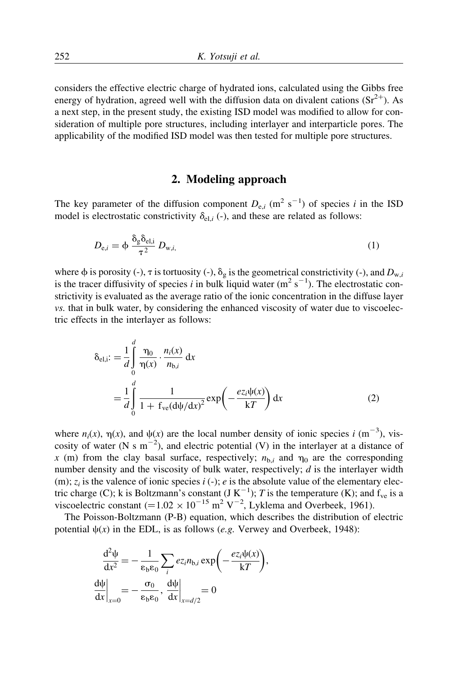considers the effective electric charge of hydrated ions, calculated using the Gibbs free energy of hydration, agreed well with the diffusion data on divalent cations  $(Sr^{2+})$ . As a next step, in the present study, the existing ISD model was modified to allow for consideration of multiple pore structures, including interlayer and interparticle pores. The applicability of the modified ISD model was then tested for multiple pore structures.

## 2. Modeling approach

The key parameter of the diffusion component  $D_{e,i}$  (m<sup>2</sup> s<sup>-1</sup>) of species i in the ISD model is electrostatic constrictivity  $\delta_{el,i}$  (-), and these are related as follows:

$$
D_{e,i} = \phi \frac{\delta_g \delta_{e,i}}{\tau^2} D_{w,i}
$$
 (1)

where  $\phi$  is porosity (-),  $\tau$  is tortuosity (-),  $\delta_g$  is the geometrical constrictivity (-), and  $D_{w,i}$ is the tracer diffusivity of species i in bulk liquid water  $(m^2 s^{-1})$ . The electrostatic constrictivity is evaluated as the average ratio of the ionic concentration in the diffuse layer vs. that in bulk water, by considering the enhanced viscosity of water due to viscoelectric effects in the interlayer as follows:

$$
\delta_{\text{el},i} := \frac{1}{d} \int_{0}^{d} \frac{\eta_{0}}{\eta(x)} \cdot \frac{n_{i}(x)}{n_{\text{b},i}} dx
$$
  
= 
$$
\frac{1}{d} \int_{0}^{d} \frac{1}{1 + f_{\text{ve}}(\text{d}\psi/\text{d}x)^{2}} \exp\left(-\frac{e z_{i} \psi(x)}{kT}\right) dx
$$
 (2)

where  $n_i(x)$ ,  $\eta(x)$ , and  $\psi(x)$  are the local number density of ionic species i (m<sup>-3</sup>), viscosity of water (N s  $m^{-2}$ ), and electric potential (V) in the interlayer at a distance of x (m) from the clay basal surface, respectively;  $n_{\text{b},i}$  and  $\eta_0$  are the corresponding number density and the viscosity of bulk water, respectively; d is the interlayer width (m);  $z_i$  is the valence of ionic species  $i$  (-); e is the absolute value of the elementary electric charge (C); k is Boltzmann's constant  $(J K^{-1})$ ; T is the temperature (K); and  $f_{ve}$  is a viscoelectric constant  $(=1.02 \times 10^{-15} \text{ m}^2 \text{ V}^{-2}$ , Lyklema and Overbeek, 1961).

The Poisson-Boltzmann (P-B) equation, which describes the distribution of electric potential  $\psi(x)$  in the EDL, is as follows (e.g. Verwey and Overbeek, 1948):

$$
\frac{d^2\psi}{dx^2} = -\frac{1}{\varepsilon_b \varepsilon_0} \sum_i e_{\bar{z}_i n_{b,i}} \exp\left(-\frac{e_{\bar{z}_i} \psi(x)}{kT}\right),\newline\n\frac{d\psi}{dx}\bigg|_{x=0} = -\frac{\sigma_0}{\varepsilon_b \varepsilon_0}, \frac{d\psi}{dx}\bigg|_{x=d/2} = 0
$$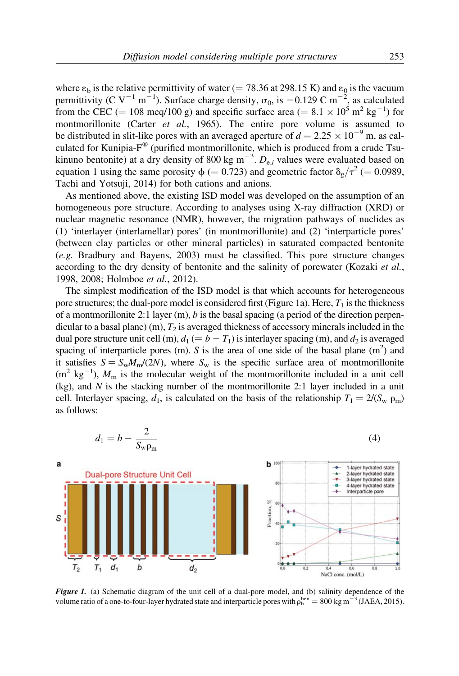where  $\varepsilon_b$  is the relative permittivity of water (= 78.36 at 298.15 K) and  $\varepsilon_0$  is the vacuum permittivity (C V<sup>-1</sup> m<sup>-1</sup>). Surface charge density,  $\sigma_0$ , is -0.129 C m<sup>-2</sup>, as calculated from the CEC (= 108 meq/100 g) and specific surface area (=  $8.1 \times 10^5$  m<sup>2</sup> kg<sup>-1</sup>) for montmorillonite (Carter et al., 1965). The entire pore volume is assumed to be distributed in slit-like pores with an averaged aperture of  $d = 2.25 \times 10^{-9}$  m, as calculated for Kunipia- $F^{\textcircled{w}}$  (purified montmorillonite, which is produced from a crude Tsukinuno bentonite) at a dry density of 800 kg m<sup>-3</sup>.  $D_{e,i}$  values were evaluated based on equation 1 using the same porosity  $\phi$  (= 0.723) and geometric factor  $\delta_{\alpha}/\tau^2$  (= 0.0989, Tachi and Yotsuji, 2014) for both cations and anions.

As mentioned above, the existing ISD model was developed on the assumption of an homogeneous pore structure. According to analyses using X-ray diffraction (XRD) or nuclear magnetic resonance (NMR), however, the migration pathways of nuclides as (1) 'interlayer (interlamellar) pores' (in montmorillonite) and (2) 'interparticle pores' (between clay particles or other mineral particles) in saturated compacted bentonite (e.g. Bradbury and Bayens, 2003) must be classified. This pore structure changes according to the dry density of bentonite and the salinity of porewater (Kozaki *et al.*, 1998, 2008; Holmboe et al., 2012).

The simplest modification of the ISD model is that which accounts for heterogeneous pore structures; the dual-pore model is considered first (Figure 1a). Here,  $T_1$  is the thickness of a montmorillonite 2:1 layer  $(m)$ , b is the basal spacing (a period of the direction perpendicular to a basal plane) (m),  $T_2$  is averaged thickness of accessory minerals included in the dual pore structure unit cell (m),  $d_1 (= b - T_1)$  is interlayer spacing (m), and  $d_2$  is averaged spacing of interparticle pores (m). S is the area of one side of the basal plane  $(m<sup>2</sup>)$  and it satisfies  $S = S_w M_m/(2N)$ , where  $S_w$  is the specific surface area of montmorillonite  $(m^2 \text{ kg}^{-1})$ ,  $M_\text{m}$  is the molecular weight of the montmorillonite included in a unit cell  $(kg)$ , and N is the stacking number of the montmorillonite 2:1 layer included in a unit cell. Interlayer spacing,  $d_1$ , is calculated on the basis of the relationship  $T_1 = 2/(S_{\rm w} \rho_{\rm m})$ as follows:



Figure 1. (a) Schematic diagram of the unit cell of a dual-pore model, and (b) salinity dependence of the volume ratio of a one-to-four-layer hydrated state and interparticle pores with  $\rho_b^{ben} = 800 \text{ kg m}^{-3}$  (JAEA, 2015).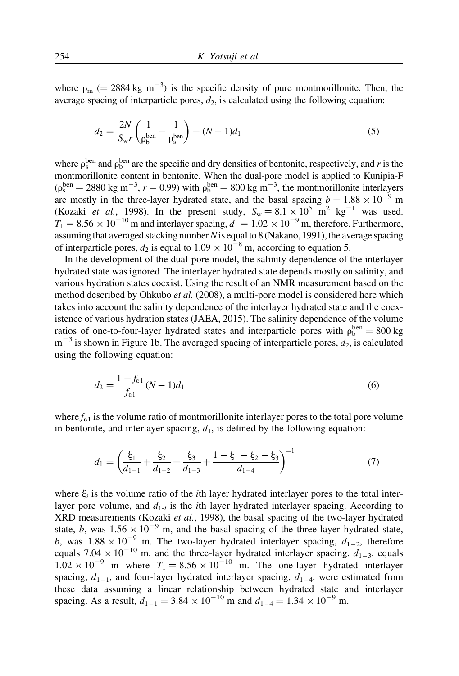where  $\rho_m$  (= 2884 kg m<sup>-3</sup>) is the specific density of pure montmorillonite. Then, the average spacing of interparticle pores,  $d_2$ , is calculated using the following equation:

$$
d_2 = \frac{2N}{S_{\rm w}r} \left( \frac{1}{\rho_b^{\rm ben}} - \frac{1}{\rho_s^{\rm ben}} \right) - (N - 1)d_1
$$
\n(5)

where  $\rho_s^{\text{ben}}$  and  $\rho_b^{\text{ben}}$  are the specific and dry densities of bentonite, respectively, and r is the montmorillonite content in bentonite. When the dual-pore model is applied to Kunipia-F  $(\rho_s^{\text{ben}} = 2880 \text{ kg m}^{-3}, r = 0.99)$  with  $\rho_b^{\text{ben}} = 800 \text{ kg m}^{-3}$ , the montmorillonite interlayers are mostly in the three-layer hydrated state, and the basal spacing  $b = 1.88 \times 10^{-9}$  m (Kozaki et al., 1998). In the present study,  $S_w = 8.1 \times 10^5$  m<sup>2</sup> kg<sup>-1</sup> was used.  $T_1 = 8.56 \times 10^{-10}$  m and interlayer spacing,  $d_1 = 1.02 \times 10^{-9}$  m, therefore. Furthermore, assuming that averaged stacking number  $N$  is equal to 8 (Nakano, 1991), the average spacing of interparticle pores,  $d_2$  is equal to  $1.09 \times 10^{-8}$  m, according to equation 5.

In the development of the dual-pore model, the salinity dependence of the interlayer hydrated state was ignored. The interlayer hydrated state depends mostly on salinity, and various hydration states coexist. Using the result of an NMR measurement based on the method described by Ohkubo et al. (2008), a multi-pore model is considered here which takes into account the salinity dependence of the interlayer hydrated state and the coexistence of various hydration states (JAEA, 2015). The salinity dependence of the volume ratios of one-to-four-layer hydrated states and interparticle pores with  $\rho_b^{\text{ben}} = 800 \text{ kg}$  $m^{-3}$  is shown in Figure 1b. The averaged spacing of interparticle pores,  $d_2$ , is calculated using the following equation:

$$
d_2 = \frac{1 - f_{\text{e1}}}{f_{\text{e1}}} (N - 1) d_1 \tag{6}
$$

where  $f_{1}$  is the volume ratio of montmorillonite interlayer pores to the total pore volume in bentonite, and interlayer spacing,  $d_1$ , is defined by the following equation:

$$
d_1 = \left(\frac{\xi_1}{d_{1-1}} + \frac{\xi_2}{d_{1-2}} + \frac{\xi_3}{d_{1-3}} + \frac{1 - \xi_1 - \xi_2 - \xi_3}{d_{1-4}}\right)^{-1} \tag{7}
$$

where  $\xi_i$  is the volume ratio of the *i*th layer hydrated interlayer pores to the total interlayer pore volume, and  $d_{1-i}$  is the *i*th layer hydrated interlayer spacing. According to XRD measurements (Kozaki *et al.*, 1998), the basal spacing of the two-layer hydrated state, b, was  $1.56 \times 10^{-9}$  m, and the basal spacing of the three-layer hydrated state, b, was  $1.88 \times 10^{-9}$  m. The two-layer hydrated interlayer spacing,  $d_{1-2}$ , therefore equals  $7.04 \times 10^{-10}$  m, and the three-layer hydrated interlayer spacing,  $d_{1-3}$ , equals  $1.02 \times 10^{-9}$  m where  $T_1 = 8.56 \times 10^{-10}$  m. The one-layer hydrated interlayer spacing,  $d_{1-1}$ , and four-layer hydrated interlayer spacing,  $d_{1-4}$ , were estimated from these data assuming a linear relationship between hydrated state and interlayer spacing. As a result,  $d_{1-1} = 3.84 \times 10^{-10}$  m and  $d_{1-4} = 1.34 \times 10^{-9}$  m.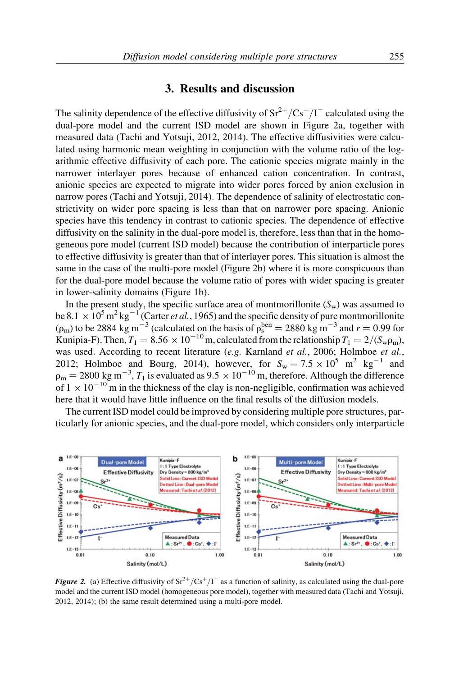#### 3. Results and discussion

The salinity dependence of the effective diffusivity of  $\text{Sr}^{2+}/\text{Cs}^{+}/\text{I}^{-}$  calculated using the dual-pore model and the current ISD model are shown in Figure 2a, together with measured data (Tachi and Yotsuji, 2012, 2014). The effective diffusivities were calculated using harmonic mean weighting in conjunction with the volume ratio of the logarithmic effective diffusivity of each pore. The cationic species migrate mainly in the narrower interlayer pores because of enhanced cation concentration. In contrast, anionic species are expected to migrate into wider pores forced by anion exclusion in narrow pores (Tachi and Yotsuji, 2014). The dependence of salinity of electrostatic constrictivity on wider pore spacing is less than that on narrower pore spacing. Anionic species have this tendency in contrast to cationic species. The dependence of effective diffusivity on the salinity in the dual-pore model is, therefore, less than that in the homogeneous pore model (current ISD model) because the contribution of interparticle pores to effective diffusivity is greater than that of interlayer pores. This situation is almost the same in the case of the multi-pore model (Figure 2b) where it is more conspicuous than for the dual-pore model because the volume ratio of pores with wider spacing is greater in lower-salinity domains (Figure 1b).

In the present study, the specific surface area of montmorillonite  $(S_w)$  was assumed to be 8.1  $\times$  10<sup>5</sup> m<sup>2</sup> kg<sup>-1</sup> (Carter *et al.*, 1965) and the specific density of pure montmorillonite  $(\rho_m)$  to be 2884 kg m<sup>-3</sup> (calculated on the basis of  $\rho_s^{ben} = 2880$  kg m<sup>-3</sup> and  $r = 0.99$  for Kunipia-F). Then,  $T_1 = 8.56 \times 10^{-10}$  m, calculated from the relationship  $T_1 = 2/(S_w \rho_m)$ , was used. According to recent literature (e.g. Karnland et al., 2006; Holmboe et al., 2012; Holmboe and Bourg, 2014), however, for  $S_w = 7.5 \times 10^5$  m<sup>2</sup> kg<sup>-1</sup> and  $\rho_m = 2800 \text{ kg m}^{-3}$ ,  $T_1$  is evaluated as  $9.5 \times 10^{-10}$  m, therefore. Although the difference of  $1 \times 10^{-10}$  m in the thickness of the clay is non-negligible, confirmation was achieved here that it would have little influence on the final results of the diffusion models.

The current ISD model could be improved by considering multiple pore structures, particularly for anionic species, and the dual-pore model, which considers only interparticle



**Figure 2.** (a) Effective diffusivity of  $Sr^{2+}/Cs^{+}/I^{-}$  as a function of salinity, as calculated using the dual-pore model and the current ISD model (homogeneous pore model), together with measured data (Tachi and Yotsuji, 2012, 2014); (b) the same result determined using a multi-pore model.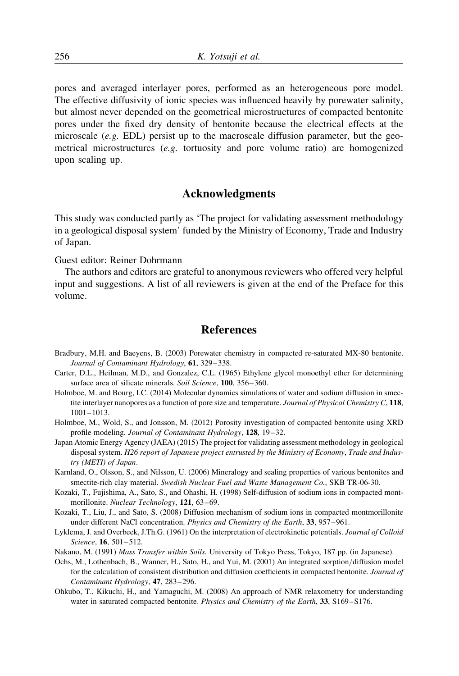pores and averaged interlayer pores, performed as an heterogeneous pore model. The effective diffusivity of ionic species was influenced heavily by porewater salinity, but almost never depended on the geometrical microstructures of compacted bentonite pores under the fixed dry density of bentonite because the electrical effects at the microscale  $(e.g. EDL)$  persist up to the macroscale diffusion parameter, but the geometrical microstructures (e.g. tortuosity and pore volume ratio) are homogenized upon scaling up.

# Acknowledgments

This study was conducted partly as 'The project for validating assessment methodology in a geological disposal system' funded by the Ministry of Economy, Trade and Industry of Japan.

Guest editor: Reiner Dohrmann

The authors and editors are grateful to anonymous reviewers who offered very helpful input and suggestions. A list of all reviewers is given at the end of the Preface for this volume.

## References

- Bradbury, M.H. and Baeyens, B. (2003) Porewater chemistry in compacted re-saturated MX-80 bentonite. Journal of Contaminant Hydrology, 61, 329-338.
- Carter, D.L., Heilman, M.D., and Gonzalez, C.L. (1965) Ethylene glycol monoethyl ether for determining surface area of silicate minerals. Soil Science, 100, 356-360.
- Holmboe, M. and Bourg, I.C. (2014) Molecular dynamics simulations of water and sodium diffusion in smectite interlayer nanopores as a function of pore size and temperature. Journal of Physical Chemistry C, 118, 1001–1013.
- Holmboe, M., Wold, S., and Jonsson, M. (2012) Porosity investigation of compacted bentonite using XRD profile modeling. Journal of Contaminant Hydrology, 128, 19–32.
- Japan Atomic Energy Agency (JAEA) (2015) The project for validating assessment methodology in geological disposal system. H26 report of Japanese project entrusted by the Ministry of Economy, Trade and Industry (METI) of Japan.
- Karnland, O., Olsson, S., and Nilsson, U. (2006) Mineralogy and sealing properties of various bentonites and smectite-rich clay material. Swedish Nuclear Fuel and Waste Management Co., SKB TR-06-30.
- Kozaki, T., Fujishima, A., Sato, S., and Ohashi, H. (1998) Self-diffusion of sodium ions in compacted montmorillonite. Nuclear Technology, 121, 63-69.
- Kozaki, T., Liu, J., and Sato, S. (2008) Diffusion mechanism of sodium ions in compacted montmorillonite under different NaCl concentration. *Physics and Chemistry of the Earth*, 33, 957–961.
- Lyklema, J. and Overbeek, J.Th.G. (1961) On the interpretation of electrokinetic potentials. Journal of Colloid Science, 16, 501–512.
- Nakano, M. (1991) Mass Transfer within Soils. University of Tokyo Press, Tokyo, 187 pp. (in Japanese).
- Ochs, M., Lothenbach, B., Wanner, H., Sato, H., and Yui, M. (2001) An integrated sorption/diffusion model for the calculation of consistent distribution and diffusion coefficients in compacted bentonite. Journal of Contaminant Hydrology, 47, 283 –296.
- Ohkubo, T., Kikuchi, H., and Yamaguchi, M. (2008) An approach of NMR relaxometry for understanding water in saturated compacted bentonite. Physics and Chemistry of the Earth, 33, S169-S176.